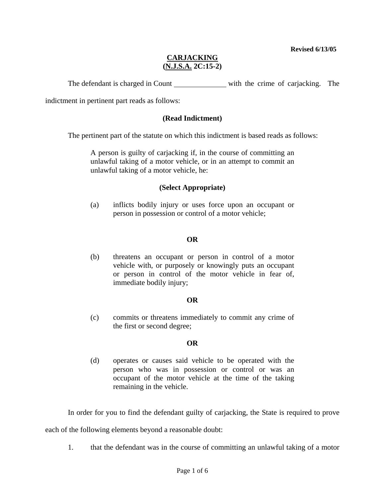**Revised 6/13/05** 

# **CARJACKING (N.J.S.A. 2C:15-2)**

The defendant is charged in Count with the crime of carjacking. The

indictment in pertinent part reads as follows:

### **(Read Indictment)**

The pertinent part of the statute on which this indictment is based reads as follows:

A person is guilty of carjacking if, in the course of committing an unlawful taking of a motor vehicle, or in an attempt to commit an unlawful taking of a motor vehicle, he:

#### **(Select Appropriate)**

(a) inflicts bodily injury or uses force upon an occupant or person in possession or control of a motor vehicle;

### **OR**

(b) threatens an occupant or person in control of a motor vehicle with, or purposely or knowingly puts an occupant or person in control of the motor vehicle in fear of, immediate bodily injury;

## **OR**

(c) commits or threatens immediately to commit any crime of the first or second degree;

## **OR**

(d) operates or causes said vehicle to be operated with the person who was in possession or control or was an occupant of the motor vehicle at the time of the taking remaining in the vehicle.

In order for you to find the defendant guilty of carjacking, the State is required to prove

<span id="page-0-0"></span>each of the following elements beyond a reasonable doubt:

1. that the defendant was in the course of committing an unlawful taking of a motor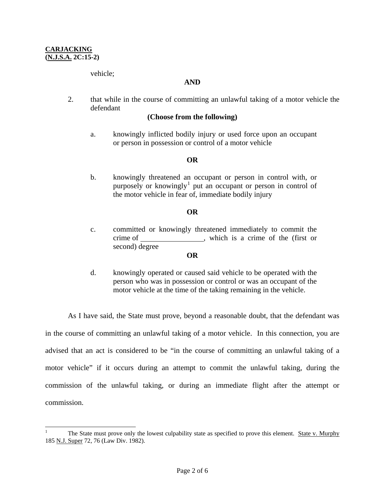vehicle;

### **AND**

2. that while in the course of committing an unlawful taking of a motor vehicle the defendant

### **(Choose from the following)**

a. knowingly inflicted bodily injury or used force upon an occupant or person in possession or control of a motor vehicle

### **OR**

b. knowingly threatened an occupant or person in control with, or purposely or knowingly<sup>[1](#page-0-0)</sup> put an occupant or person in control of the motor vehicle in fear of, immediate bodily injury

### **OR**

c. committed or knowingly threatened immediately to commit the crime of \_\_\_\_\_\_\_\_\_\_\_\_\_\_\_\_, which is a crime of the (first or second) degree

#### **OR**

d. knowingly operated or caused said vehicle to be operated with the person who was in possession or control or was an occupant of the motor vehicle at the time of the taking remaining in the vehicle.

 As I have said, the State must prove, beyond a reasonable doubt, that the defendant was in the course of committing an unlawful taking of a motor vehicle. In this connection, you are advised that an act is considered to be "in the course of committing an unlawful taking of a motor vehicle" if it occurs during an attempt to commit the unlawful taking, during the commission of the unlawful taking, or during an immediate flight after the attempt or commission.

<span id="page-1-0"></span> $\frac{1}{1}$  The State must prove only the lowest culpability state as specified to prove this element. State v. Murphy 185 N.J. Super 72, 76 (Law Div. 1982).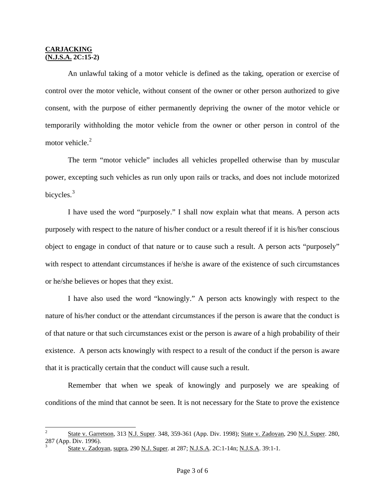<span id="page-2-1"></span>l

 An unlawful taking of a motor vehicle is defined as the taking, operation or exercise of control over the motor vehicle, without consent of the owner or other person authorized to give consent, with the purpose of either permanently depriving the owner of the motor vehicle or temporarily withholding the motor vehicle from the owner or other person in control of the motor vehicle.<sup>[2](#page-1-0)</sup>

 The term "motor vehicle" includes all vehicles propelled otherwise than by muscular power, excepting such vehicles as run only upon rails or tracks, and does not include motorized bicycles.<sup>[3](#page-2-0)</sup>

 I have used the word "purposely." I shall now explain what that means. A person acts purposely with respect to the nature of his/her conduct or a result thereof if it is his/her conscious object to engage in conduct of that nature or to cause such a result. A person acts "purposely" with respect to attendant circumstances if he/she is aware of the existence of such circumstances or he/she believes or hopes that they exist.

 I have also used the word "knowingly." A person acts knowingly with respect to the nature of his/her conduct or the attendant circumstances if the person is aware that the conduct is of that nature or that such circumstances exist or the person is aware of a high probability of their existence. A person acts knowingly with respect to a result of the conduct if the person is aware that it is practically certain that the conduct will cause such a result.

 Remember that when we speak of knowingly and purposely we are speaking of conditions of the mind that cannot be seen. It is not necessary for the State to prove the existence

<span id="page-2-0"></span><sup>2</sup> State v. Garretson, 313 N.J. Super. 348, 359-361 (App. Div. 1998); State v. Zadoyan, 290 N.J. Super. 280,  $287$  (App. Div. 1996).

State v. Zadoyan, supra, 290 N.J. Super. at 287; N.J.S.A. 2C:1-14n; N.J.S.A. 39:1-1.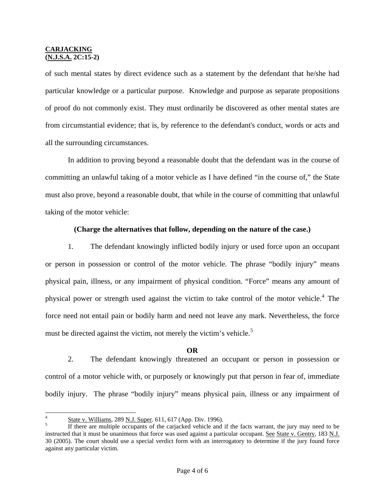of such mental states by direct evidence such as a statement by the defendant that he/she had particular knowledge or a particular purpose. Knowledge and purpose as separate propositions of proof do not commonly exist. They must ordinarily be discovered as other mental states are from circumstantial evidence; that is, by reference to the defendant's conduct, words or acts and all the surrounding circumstances.

 In addition to proving beyond a reasonable doubt that the defendant was in the course of committing an unlawful taking of a motor vehicle as I have defined "in the course of," the State must also prove, beyond a reasonable doubt, that while in the course of committing that unlawful taking of the motor vehicle:

## **(Charge the alternatives that follow, depending on the nature of the case.)**

 1. The defendant knowingly inflicted bodily injury or used force upon an occupant or person in possession or control of the motor vehicle. The phrase "bodily injury" means physical pain, illness, or any impairment of physical condition. "Force" means any amount of physical power or strength used against the victim to take control of the motor vehicle.<sup>[4](#page-2-1)</sup> The force need not entail pain or bodily harm and need not leave any mark. Nevertheless, the force must be directed against the victim, not merely the victim's vehicle.<sup>[5](#page-3-0)</sup>

#### **OR**

2. The defendant knowingly threatened an occupant or person in possession or control of a motor vehicle with, or purposely or knowingly put that person in fear of, immediate bodily injury. The phrase "bodily injury" means physical pain, illness or any impairment of

 $\frac{1}{4}$  $\frac{1}{5}$  State v. Williams, 289 N.J. Super. 611, 617 (App. Div. 1996).

<span id="page-3-1"></span><span id="page-3-0"></span>If there are multiple occupants of the carjacked vehicle and if the facts warrant, the jury may need to be instructed that it must be unanimous that force was used against a particular occupant. See State v. Gentry, 183 N.J. 30 (2005). The court should use a special verdict form with an interrogatory to determine if the jury found force against any particular victim.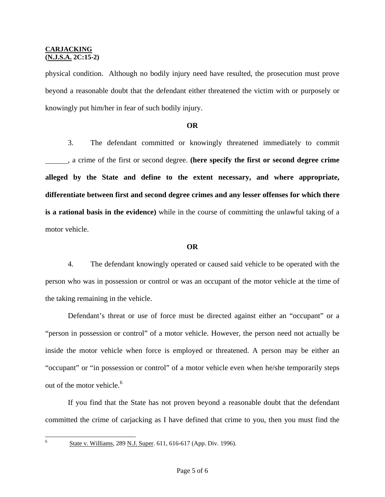physical condition. Although no bodily injury need have resulted, the prosecution must prove beyond a reasonable doubt that the defendant either threatened the victim with or purposely or knowingly put him/her in fear of such bodily injury.

### **OR**

3. The defendant committed or knowingly threatened immediately to commit , a crime of the first or second degree. **(here specify the first or second degree crime alleged by the State and define to the extent necessary, and where appropriate, differentiate between first and second degree crimes and any lesser offenses for which there is a rational basis in the evidence)** while in the course of committing the unlawful taking of a motor vehicle.

### **OR**

4. The defendant knowingly operated or caused said vehicle to be operated with the person who was in possession or control or was an occupant of the motor vehicle at the time of the taking remaining in the vehicle.

 Defendant's threat or use of force must be directed against either an "occupant" or a "person in possession or control" of a motor vehicle. However, the person need not actually be inside the motor vehicle when force is employed or threatened. A person may be either an "occupant" or "in possession or control" of a motor vehicle even when he/she temporarily steps out of the motor vehicle.<sup>[6](#page-3-1)</sup>

 If you find that the State has not proven beyond a reasonable doubt that the defendant committed the crime of carjacking as I have defined that crime to you, then you must find the

6

State v. Williams, 289 N.J. Super. 611, 616-617 (App. Div. 1996).